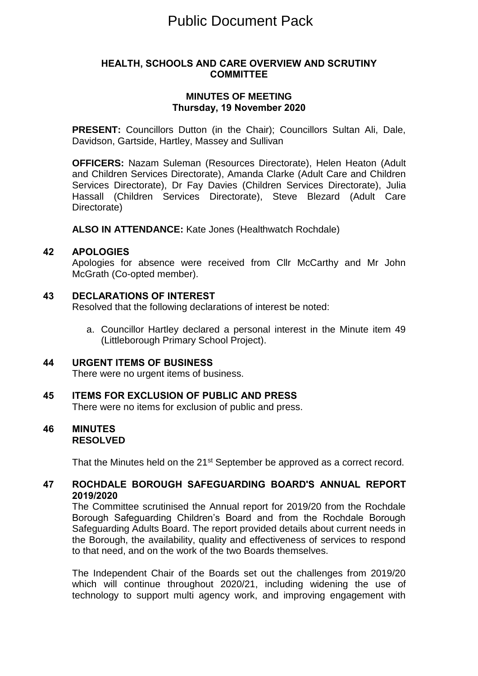# Public Document Pack

#### **HEALTH, SCHOOLS AND CARE OVERVIEW AND SCRUTINY COMMITTEE**

## **MINUTES OF MEETING Thursday, 19 November 2020**

**PRESENT:** Councillors Dutton (in the Chair); Councillors Sultan Ali, Dale, Davidson, Gartside, Hartley, Massey and Sullivan

**OFFICERS:** Nazam Suleman (Resources Directorate), Helen Heaton (Adult and Children Services Directorate), Amanda Clarke (Adult Care and Children Services Directorate), Dr Fay Davies (Children Services Directorate), Julia Hassall (Children Services Directorate), Steve Blezard (Adult Care Directorate)

**ALSO IN ATTENDANCE:** Kate Jones (Healthwatch Rochdale)

#### **42 APOLOGIES**

Apologies for absence were received from Cllr McCarthy and Mr John McGrath (Co-opted member).

### **43 DECLARATIONS OF INTEREST**

Resolved that the following declarations of interest be noted:

a. Councillor Hartley declared a personal interest in the Minute item 49 (Littleborough Primary School Project).

#### **44 URGENT ITEMS OF BUSINESS** There were no urgent items of business.

**45 ITEMS FOR EXCLUSION OF PUBLIC AND PRESS** There were no items for exclusion of public and press.

### **46 MINUTES RESOLVED**

That the Minutes held on the 21<sup>st</sup> September be approved as a correct record.

# **47 ROCHDALE BOROUGH SAFEGUARDING BOARD'S ANNUAL REPORT 2019/2020**

The Committee scrutinised the Annual report for 2019/20 from the Rochdale Borough Safeguarding Children's Board and from the Rochdale Borough Safeguarding Adults Board. The report provided details about current needs in the Borough, the availability, quality and effectiveness of services to respond to that need, and on the work of the two Boards themselves.

The Independent Chair of the Boards set out the challenges from 2019/20 which will continue throughout 2020/21, including widening the use of technology to support multi agency work, and improving engagement with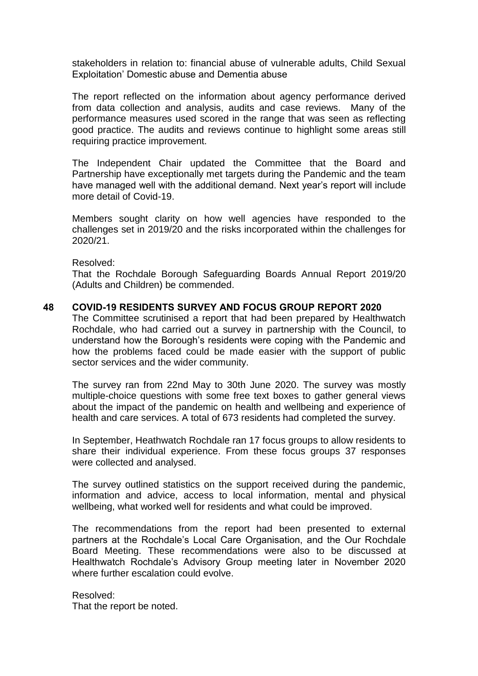stakeholders in relation to: financial abuse of vulnerable adults, Child Sexual Exploitation' Domestic abuse and Dementia abuse

The report reflected on the information about agency performance derived from data collection and analysis, audits and case reviews. Many of the performance measures used scored in the range that was seen as reflecting good practice. The audits and reviews continue to highlight some areas still requiring practice improvement.

The Independent Chair updated the Committee that the Board and Partnership have exceptionally met targets during the Pandemic and the team have managed well with the additional demand. Next year's report will include more detail of Covid-19.

Members sought clarity on how well agencies have responded to the challenges set in 2019/20 and the risks incorporated within the challenges for 2020/21.

Resolved:

That the Rochdale Borough Safeguarding Boards Annual Report 2019/20 (Adults and Children) be commended.

### **48 COVID-19 RESIDENTS SURVEY AND FOCUS GROUP REPORT 2020**

The Committee scrutinised a report that had been prepared by Healthwatch Rochdale, who had carried out a survey in partnership with the Council, to understand how the Borough's residents were coping with the Pandemic and how the problems faced could be made easier with the support of public sector services and the wider community.

The survey ran from 22nd May to 30th June 2020. The survey was mostly multiple-choice questions with some free text boxes to gather general views about the impact of the pandemic on health and wellbeing and experience of health and care services. A total of 673 residents had completed the survey.

In September, Heathwatch Rochdale ran 17 focus groups to allow residents to share their individual experience. From these focus groups 37 responses were collected and analysed.

The survey outlined statistics on the support received during the pandemic, information and advice, access to local information, mental and physical wellbeing, what worked well for residents and what could be improved.

The recommendations from the report had been presented to external partners at the Rochdale's Local Care Organisation, and the Our Rochdale Board Meeting. These recommendations were also to be discussed at Healthwatch Rochdale's Advisory Group meeting later in November 2020 where further escalation could evolve.

Resolved: That the report be noted.